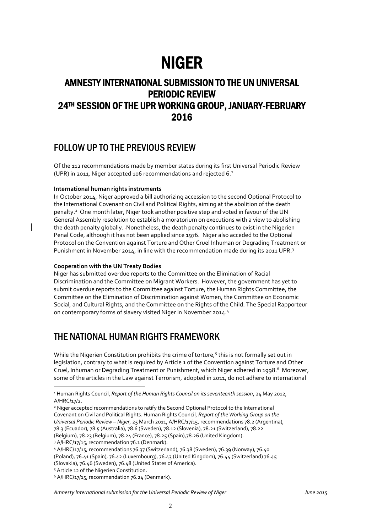# NIGER

# AMNESTY INTERNATIONAL SUBMISSION TO THE UN UNIVERSAL PERIODIC REVIEW 24TH SESSION OF THE UPR WORKING GROUP, JANUARY-FEBRUARY 2016

# FOLLOW UP TO THE PREVIOUS REVIEW

Of the 112 recommendations made by member states during its first Universal Periodic Review (UPR) in 2011, Niger accepted 106 recommendations and rejected 6.<sup>1</sup>

# **International human rights instruments**

In October 2014, Niger approved a bill authorizing accession to the second Optional Protocol to the International Covenant on Civil and Political Rights, aiming at the abolition of the death penalty.<sup>2</sup> One month later, Niger took another positive step and voted in favour of the UN General Assembly resolution to establish a moratorium on executions with a view to abolishing the death penalty globally. Nonetheless, the death penalty continues to exist in the Nigerien Penal Code, although it has not been applied since 1976. Niger also acceded to the Optional Protocol on the Convention against Torture and Other Cruel Inhuman or Degrading Treatment or Punishment in November 2014, in line with the recommendation made during its 2011 UPR.<sup>3</sup>

## **Cooperation with the UN Treaty Bodies**

Niger has submitted overdue reports to the Committee on the Elimination of Racial Discrimination and the Committee on Migrant Workers. However, the government has yet to submit overdue reports to the Committee against Torture, the Human Rights Committee, the Committee on the Elimination of Discrimination against Women, the Committee on Economic Social, and Cultural Rights, and the Committee on the Rights of the Child. The Special Rapporteur on contemporary forms of slavery visited Niger in November 2014.<sup>4</sup>

# THE NATIONAL HUMAN RIGHTS FRAMEWORK

While the Nigerien Constitution prohibits the crime of torture,<sup>5</sup> this is not formally set out in legislation, contrary to what is required by Article 1 of the Convention against Torture and Other Cruel, Inhuman or Degrading Treatment or Punishment, which Niger adhered in 1998.<sup>6</sup> Moreover, some of the articles in the Law against Terrorism, adopted in 2011, do not adhere to international

1

*Amnesty International submission for the Universal Periodic Review of Niger June 2015*

<sup>1</sup> Human Rights Council, *Report of the Human Rights Council on its seventeenth session*, 24 May 2012, A/HRC/17/2.

<sup>2</sup> Niger accepted recommendations to ratify the Second Optional Protocol to the International Covenant on Civil and Political Rights. Human Rights Council, *Report of the Working Group on the Universal Periodic Review – Niger*, 25 March 2011, A/HRC/17/15, recommendations 78.2 (Argentina), 78.3 (Ecuador), 78.5 (Australia), 78.6 (Sweden), 78.12 (Slovenia), 78.21 (Switzerland), 78.22 (Belgium), 78.23 (Belgium), 78.24 (France), 78.25 (Spain),78.26 (United Kingdom).

<sup>&</sup>lt;sup>3</sup> A/HRC/17/15, recommendation 76.1 (Denmark).

<sup>4</sup> A/HRC/17/15, recommendations 76.37 (Switzerland), 76.38 (Sweden), 76.39 (Norway), 76.40 (Poland), 76.41 (Spain), 76.42 (Luxembourg), 76.43 (United Kingdom), 76.44 (Switzerland) 76.45 (Slovakia), 76.46 (Sweden), 76.48 (United States of America).

<sup>5</sup> Article 12 of the Nigerien Constitution.

<sup>6</sup> A/HRC/17/15, recommendation 76.24 (Denmark).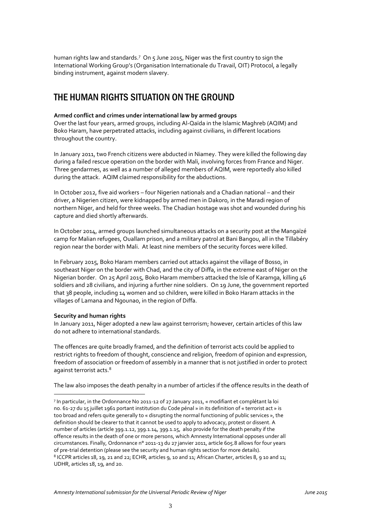human rights law and standards.<sup>7</sup> On 5 June 2015, Niger was the first country to sign the International Working Group's (Organisation Internationale du Travail, OIT) Protocol, a legally binding instrument, against modern slavery.

# THE HUMAN RIGHTS SITUATION ON THE GROUND

# **Armed conflict and crimes under international law by armed groups**

Over the last four years, armed groups, including Al-Qaïda in the Islamic Maghreb (AQIM) and Boko Haram, have perpetrated attacks, including against civilians, in different locations throughout the country.

In January 2011, two French citizens were abducted in Niamey. They were killed the following day during a failed rescue operation on the border with Mali, involving forces from France and Niger. Three gendarmes, as well as a number of alleged members of AQIM, were reportedly also killed during the attack. AQIM claimed responsibility for the abductions.

In October 2012, five aid workers – four Nigerien nationals and a Chadian national – and their driver, a Nigerien citizen, were kidnapped by armed men in Dakoro, in the Maradi region of northern Niger, and held for three weeks. The Chadian hostage was shot and wounded during his capture and died shortly afterwards.

In October 2014, armed groups launched simultaneous attacks on a security post at the Mangaïzé camp for Malian refugees, Ouallam prison, and a military patrol at Bani Bangou, all in the Tillabéry region near the border with Mali. At least nine members of the security forces were killed.

In February 2015, Boko Haram members carried out attacks against the village of Bosso, in southeast Niger on the border with Chad, and the city of Diffa, in the extreme east of Niger on the Nigerian border. On 25 April 2015, Boko Haram members attacked the Isle of Karamga, killing 46 soldiers and 28 civilians, and injuring a further nine soldiers. On 19 June, the government reported that 38 people, including 14 women and 10 children, were killed in Boko Haram attacks in the villages of Lamana and Ngounao, in the region of Diffa.

## **Security and human rights**

1

In January 2011, Niger adopted a new law against terrorism; however, certain articles of this law do not adhere to international standards.

The offences are quite broadly framed, and the definition of terrorist acts could be applied to restrict rights to freedom of thought, conscience and religion, freedom of opinion and expression, freedom of association or freedom of assembly in a manner that is not justified in order to protect against terrorist acts.<sup>8</sup>

The law also imposes the death penalty in a number of articles if the offence results in the death of

<sup>7</sup> In particular, in the Ordonnance No 2011-12 of 27 January 2011, « modifiant et complétant la loi no. 61-27 du 15 juillet 1961 portant institution du Code pénal » in its definition of « terrorist act » is too broad and refers quite generally to « disrupting the normal functioning of public services », the definition should be clearer to that it cannot be used to apply to advocacy, protest or dissent. A number of articles (article 399.1.12, 399.1.14, 399.1.15, also provide for the death penalty if the offence results in the death of one or more persons, which Amnesty International opposes under all circumstances. Finally, Ordonnance n° 2011-13 du 27 janvier 2011, article 605.8 allows for four years of pre-trial detention (please see the security and human rights section for more details). 8 ICCPR articles 18, 19, 21 and 22; ECHR, articles 9, 10 and 11; African Charter, articles 8, 9 10 and 11; UDHR, articles 18, 19, and 20.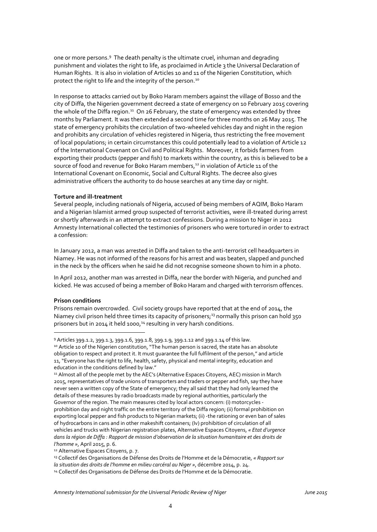one or more persons.<sup>9</sup> The death penalty is the ultimate cruel, inhuman and degrading punishment and violates the right to life, as proclaimed in Article 3 the Universal Declaration of Human Rights. It is also in violation of Articles 10 and 11 of the Nigerien Constitution, which protect the right to life and the integrity of the person.<sup>10</sup>

In response to attacks carried out by Boko Haram members against the village of Bosso and the city of Diffa, the Nigerien government decreed a state of emergency on 10 February 2015 covering the whole of the Diffa region.<sup>11</sup> On 26 February, the state of emergency was extended by three months by Parliament. It was then extended a second time for three months on 26 May 2015. The state of emergency prohibits the circulation of two-wheeled vehicles day and night in the region and prohibits any circulation of vehicles registered in Nigeria, thus restricting the free movement of local populations; in certain circumstances this could potentially lead to a violation of Article 12 of the International Covenant on Civil and Political Rights. Moreover, it forbids farmers from exporting their products (pepper and fish) to markets within the country, as this is believed to be a source of food and revenue for Boko Haram members,<sup>12</sup> in violation of Article 11 of the International Covenant on Economic, Social and Cultural Rights. The decree also gives administrative officers the authority to do house searches at any time day or night.

#### **Torture and ill-treatment**

Several people, including nationals of Nigeria, accused of being members of AQIM, Boko Haram and a Nigerian Islamist armed group suspected of terrorist activities, were ill-treated during arrest or shortly afterwards in an attempt to extract confessions. During a mission to Niger in 2012 Amnesty International collected the testimonies of prisoners who were tortured in order to extract a confession:

In January 2012, a man was arrested in Diffa and taken to the anti-terrorist cell headquarters in Niamey. He was not informed of the reasons for his arrest and was beaten, slapped and punched in the neck by the officers when he said he did not recognise someone shown to him in a photo.

In April 2012, another man was arrested in Diffa, near the border with Nigeria, and punched and kicked. He was accused of being a member of Boko Haram and charged with terrorism offences.

## **Prison conditions**

1

Prisons remain overcrowded. Civil society groups have reported that at the end of 2014, the Niamey civil prison held three times its capacity of prisoners;<sup>13</sup> normally this prison can hold 350 prisoners but in 2014 it held 1000,<sup>14</sup> resulting in very harsh conditions.

<sup>12</sup> Alternative Espaces Citoyens, p. 7.

<sup>9</sup> Articles 399.1.2, 399.1.3, 399.1.6, 399.1.8, 399.1.9, 399.1.12 and 399.1.14 of this law.

<sup>10</sup> Article 10 of the Nigerien constitution, "The human person is sacred, the state has an absolute obligation to respect and protect it. It must guarantee the full fulfilment of the person," and article 11, "Everyone has the right to life, health, safety, physical and mental integrity, education and education in the conditions defined by law."

<sup>&</sup>lt;sup>11</sup> Almost all of the people met by the AEC's (Alternative Espaces Citoyens, AEC) mission in March 2015, representatives of trade unions of transporters and traders or pepper and fish, say they have never seen a written copy of the State of emergency; they all said that they had only learned the details of these measures by radio broadcasts made by regional authorities, particularly the Governor of the region. The main measures cited by local actors concern: (i) motorcycles prohibition day and night traffic on the entire territory of the Diffa region; (ii) formal prohibition on exporting local pepper and fish products to Nigerian markets; (ii) -the rationing or even ban of sales of hydrocarbons in cans and in other makeshift containers; (Iv) prohibition of circulation of all vehicles and trucks with Nigerian registration plates, Alternative Espaces Citoyens, *« Etat d'urgence dans la région de Diffa : Rapport de mission d'observation de la situation humanitaire et des droits de l'homme »*, April 2015, p. 6.

<sup>13</sup> Collectif des Organisations de Défense des Droits de l'Homme et de la Démocratie, *« Rapport sur* 

*la situation des droits de l'homme en milieu carcéral au Niger »*, décembre 2014, p. 24.

<sup>&</sup>lt;sup>14</sup> Collectif des Organisations de Défense des Droits de l'Homme et de la Démocratie.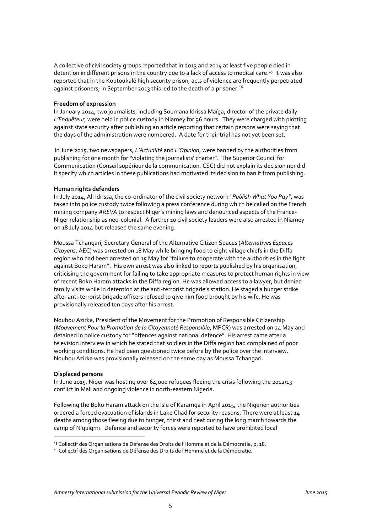A collective of civil society groups reported that in 2013 and 2014 at least five people died in detention in different prisons in the country due to a lack of access to medical care.<sup>15</sup> It was also reported that in the Koutoukalé high security prison, acts of violence are frequently perpetrated against prisoners; in September 2013 this led to the death of a prisoner.<sup>16</sup>

#### **Freedom of expression**

In January 2014, two journalists, including Soumana Idrissa Maïga, director of the private daily *L'Enquêteur*, were held in police custody in Niamey for 96 hours. They were charged with plotting against state security after publishing an article reporting that certain persons were saying that the days of the administration were numbered. A date for their trial has not yet been set.

In June 2015, two newspapers, *L'Actualité* and *L'Opinion*, were banned by the authorities from publishing for one month for "violating the journalists' charter". The Superior Council for Communication (Conseil supérieur de la communication, CSC) did not explain its decision nor did it specify which articles in these publications had motivated its decision to ban it from publishing.

#### **Human rights defenders**

In July 2014, Ali Idrissa, the co-ordinator of the civil society network *"Publish What You Pay"*, was taken into police custody twice following a press conference during which he called on the French mining company *AREVA* to respect Niger's mining laws and denounced aspects of the France-Niger relationship as neo-colonial. A further 10 civil society leaders were also arrested in Niamey on 18 July 2014 but released the same evening.

Moussa Tchangari, Secretary General of the Alternative Citizen Spaces (*Alternatives Espaces Citoyens*, AEC) was arrested on 18 May while bringing food to eight village chiefs in the Diffa region who had been arrested on 15 May for "failure to cooperate with the authorities in the fight against Boko Haram". His own arrest was also linked to reports published by his organisation, criticising the government for failing to take appropriate measures to protect human rights in view of recent Boko Haram attacks in the Diffa region. He was allowed access to a lawyer, but denied family visits while in detention at the anti-terrorist brigade's station. He staged a hunger strike after anti-terrorist brigade officers refused to give him food brought by his wife. He was provisionally released ten days after his arrest.

Nouhou Azirka, President of the Movement for the Promotion of Responsible Citizenship (*Mouvement Pour la Promotion de la Citoyenneté Responsible*, MPCR) was arrested on 24 May and detained in police custody for "offences against national defence". His arrest came after a television interview in which he stated that soldiers in the Diffa region had complained of poor working conditions. He had been questioned twice before by the police over the interview. Nouhou Azirka was provisionally released on the same day as Moussa Tchangari.

#### **Displaced persons**

<u>.</u>

In June 2015, Niger was hosting over 64,000 refugees fleeing the crisis following the 2012/13 conflict in Mali and ongoing violence in north-eastern Nigeria.

Following the Boko Haram attack on the Isle of Karamga in April 2015, the Nigerien authorities ordered a forced evacuation of islands in Lake Chad for security reasons. There were at least 14 deaths among those fleeing due to hunger, thirst and heat during the long march towards the camp of N'guigmi. Defence and security forces were reported to have prohibited local

<sup>&</sup>lt;sup>15</sup> Collectif des Organisations de Défense des Droits de l'Homme et de la Démocratie, p. 18.

<sup>&</sup>lt;sup>16</sup> Collectif des Organisations de Défense des Droits de l'Homme et de la Démocratie.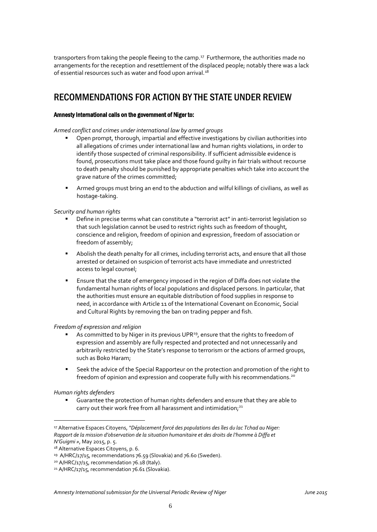transporters from taking the people fleeing to the camp.<sup>17</sup> Furthermore, the authorities made no arrangements for the reception and resettlement of the displaced people; notably there was a lack of essential resources such as water and food upon arrival.<sup>18</sup>

# RECOMMENDATIONS FOR ACTION BY THE STATE UNDER REVIEW

# Amnesty International calls on the government of Niger to:

*Armed conflict and crimes under international law by armed groups*

- Open prompt, thorough, impartial and effective investigations by civilian authorities into all allegations of crimes under international law and human rights violations, in order to identify those suspected of criminal responsibility. If sufficient admissible evidence is found, prosecutions must take place and those found guilty in fair trials without recourse to death penalty should be punished by appropriate penalties which take into account the grave nature of the crimes committed;
- Armed groups must bring an end to the abduction and wilful killings of civilians, as well as hostage-taking.

# *Security and human rights*

- Define in precise terms what can constitute a "terrorist act" in anti-terrorist legislation so that such legislation cannot be used to restrict rights such as freedom of thought, conscience and religion, freedom of opinion and expression, freedom of association or freedom of assembly;
- Abolish the death penalty for all crimes, including terrorist acts, and ensure that all those arrested or detained on suspicion of terrorist acts have immediate and unrestricted access to legal counsel;
- Ensure that the state of emergency imposed in the region of Diffa does not violate the fundamental human rights of local populations and displaced persons. In particular, that the authorities must ensure an equitable distribution of food supplies in response to need, in accordance with Article 11 of the International Covenant on Economic, Social and Cultural Rights by removing the ban on trading pepper and fish.

## *Freedom of expression and religion*

- As committed to by Niger in its previous UPR<sup>19</sup>, ensure that the rights to freedom of expression and assembly are fully respected and protected and not unnecessarily and arbitrarily restricted by the State's response to terrorism or the actions of armed groups, such as Boko Haram;
- Seek the advice of the Special Rapporteur on the protection and promotion of the right to freedom of opinion and expression and cooperate fully with his recommendations.<sup>20</sup>

# *Human rights defenders*

1

 Guarantee the protection of human rights defenders and ensure that they are able to carry out their work free from all harassment and intimidation;<sup>21</sup>

<sup>17</sup> Alternative Espaces Citoyens, *"Déplacement forcé des populations des îles du lac Tchad au Niger: Rapport de la mission d'observation de la situation humanitaire et des droits de l'homme à Diffa et N'Guigmi »*, May 2015, p. 5.

<sup>18</sup> Alternative Espaces Citoyens, p. 6.

<sup>19</sup> A/HRC/17/15, recommendations 76.59 (Slovakia) and 76.60 (Sweden).

<sup>&</sup>lt;sup>20</sup> A/HRC/17/15, recommendation 76.18 (Italy).

<sup>&</sup>lt;sup>21</sup> A/HRC/17/15, recommendation 76.61 (Slovakia).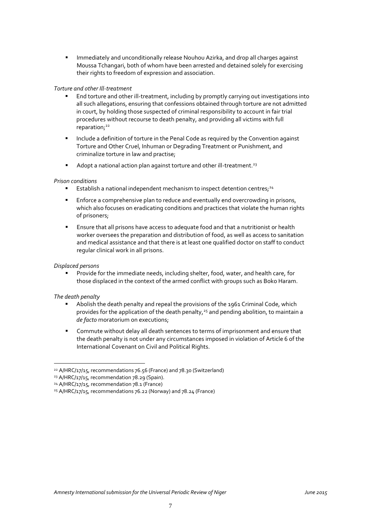**IMMED 4.5 Immediately and unconditionally release Nouhou Azirka, and drop all charges against** Moussa Tchangari, both of whom have been arrested and detained solely for exercising their rights to freedom of expression and association.

# *Torture and other Ill-treatment*

- End torture and other ill-treatment, including by promptly carrying out investigations into all such allegations, ensuring that confessions obtained through torture are not admitted in court, by holding those suspected of criminal responsibility to account in fair trial procedures without recourse to death penalty, and providing all victims with full reparation;<sup>22</sup>
- Include a definition of torture in the Penal Code as required by the Convention against Torture and Other Cruel, Inhuman or Degrading Treatment or Punishment, and criminalize torture in law and practise;
- Adopt a national action plan against torture and other ill-treatment.<sup>23</sup>

# *Prison conditions*

- **Establish a national independent mechanism to inspect detention centres**;<sup>24</sup>
- **Enforce a comprehensive plan to reduce and eventually end overcrowding in prisons,** which also focuses on eradicating conditions and practices that violate the human rights of prisoners;
- Ensure that all prisons have access to adequate food and that a nutritionist or health worker oversees the preparation and distribution of food, as well as access to sanitation and medical assistance and that there is at least one qualified doctor on staff to conduct regular clinical work in all prisons.

## *Displaced persons*

 Provide for the immediate needs, including shelter, food, water, and health care, for those displaced in the context of the armed conflict with groups such as Boko Haram.

## *The death penalty*

1

- Abolish the death penalty and repeal the provisions of the 1961 Criminal Code, which provides for the application of the death penalty,<sup>25</sup> and pending abolition, to maintain a *de facto* moratorium on executions;
- Commute without delay all death sentences to terms of imprisonment and ensure that the death penalty is not under any circumstances imposed in violation of Article 6 of the International Covenant on Civil and Political Rights.

<sup>22</sup> A/HRC/17/15, recommendations 76.56 (France) and 78.30 (Switzerland)

<sup>23</sup> A/HRC/17/15, recommendation 78.29 (Spain).

<sup>&</sup>lt;sup>24</sup> A/HRC/17/15, recommendation 78.1 (France)

<sup>25</sup> A/HRC/17/15, recommendations 76.22 (Norway) and 78.24 (France)